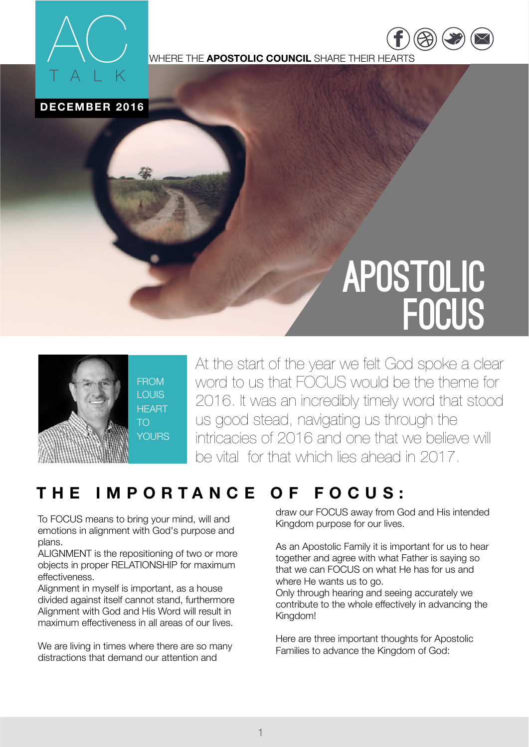

WHERE THE **APOSTOLIC COUNCIL** SHARE THEIR HEARTS

**DECEMBER 2016**

# APOSTOLIC **FOCUS**

[https://](https://www.facebook.com/COTNATIONS) ww.fac

 $\overline{\phantom{a}}$ [twitter.com](https://twitter.com/COTNations) [/](https://twitter.com/COTNations)  $(\triangle \triangle)$  ( $\square$ ) ( $\square$ 



FROM LOUIS **HFART** TO **YOURS**  At the start of the year we felt God spoke a clear word to us that FOCUS would be the theme for 2016. It was an incredibly timely word that stood us good stead, navigating us through the intricacies of 2016 and one that we believe will be vital for that which lies ahead in 2017.

## **THE IMPORTANCE OF FOCUS:**

To FOCUS means to bring your mind, will and emotions in alignment with God's purpose and plans.

ALIGNMENT is the repositioning of two or more objects in proper RELATIONSHIP for maximum effectiveness.

Alignment in myself is important, as a house divided against itself cannot stand, furthermore Alignment with God and His Word will result in maximum effectiveness in all areas of our lives.

We are living in times where there are so many distractions that demand our attention and

draw our FOCUS away from God and His intended Kingdom purpose for our lives.

As an Apostolic Family it is important for us to hear together and agree with what Father is saying so that we can FOCUS on what He has for us and where He wants us to go. Only through hearing and seeing accurately we

contribute to the whole effectively in advancing the Kingdom!

Here are three important thoughts for Apostolic Families to advance the Kingdom of God: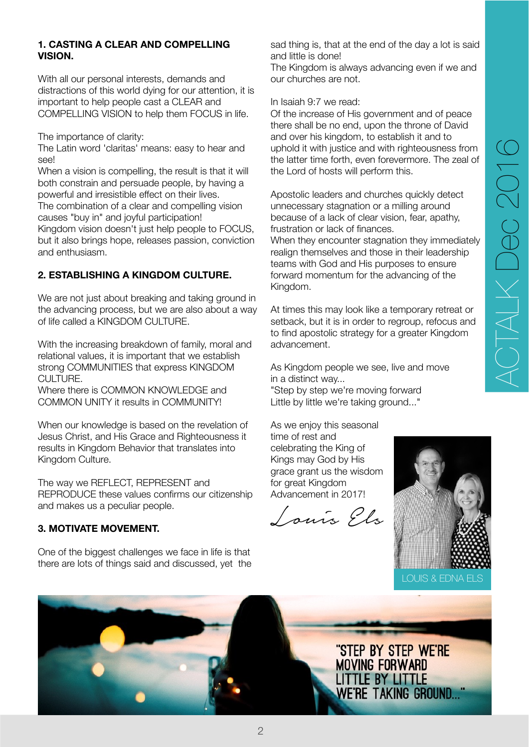#### **1. CASTING A CLEAR AND COMPELLING VISION.**

With all our personal interests, demands and distractions of this world dying for our attention, it is important to help people cast a CLEAR and COMPELLING VISION to help them FOCUS in life.

The importance of clarity:

The Latin word 'claritas' means: easy to hear and see!

When a vision is compelling, the result is that it will both constrain and persuade people, by having a powerful and irresistible effect on their lives. The combination of a clear and compelling vision causes "buy in" and joyful participation! Kingdom vision doesn't just help people to FOCUS. but it also brings hope, releases passion, conviction and enthusiasm.

#### **2. ESTABLISHING A KINGDOM CULTURE.**

We are not just about breaking and taking ground in the advancing process, but we are also about a way of life called a KINGDOM CULTURE.

With the increasing breakdown of family, moral and relational values, it is important that we establish strong COMMUNITIES that express KINGDOM CULTURE.

Where there is COMMON KNOWLEDGE and COMMON UNITY it results in COMMUNITY!

When our knowledge is based on the revelation of Jesus Christ, and His Grace and Righteousness it results in Kingdom Behavior that translates into Kingdom Culture.

The way we REFLECT, REPRESENT and REPRODUCE these values confirms our citizenship and makes us a peculiar people.

#### **3. MOTIVATE MOVEMENT.**

One of the biggest challenges we face in life is that there are lots of things said and discussed, yet the sad thing is, that at the end of the day a lot is said and little is done!

The Kingdom is always advancing even if we and our churches are not.

In Isaiah 9:7 we read:

Of the increase of His government and of peace there shall be no end, upon the throne of David and over his kingdom, to establish it and to uphold it with justice and with righteousness from the latter time forth, even forevermore. The zeal of the Lord of hosts will perform this.

Apostolic leaders and churches quickly detect unnecessary stagnation or a milling around because of a lack of clear vision, fear, apathy, frustration or lack of finances.

When they encounter stagnation they immediately realign themselves and those in their leadership teams with God and His purposes to ensure forward momentum for the advancing of the Kingdom.

At times this may look like a temporary retreat or setback, but it is in order to regroup, refocus and to find apostolic strategy for a greater Kingdom advancement.

As Kingdom people we see, live and move in a distinct way...

"Step by step we're moving forward Little by little we're taking ground..."

As we enjoy this seasonal time of rest and celebrating the King of Kings may God by His grace grant us the wisdom for great Kingdom Advancement in 2017!

Louis Els